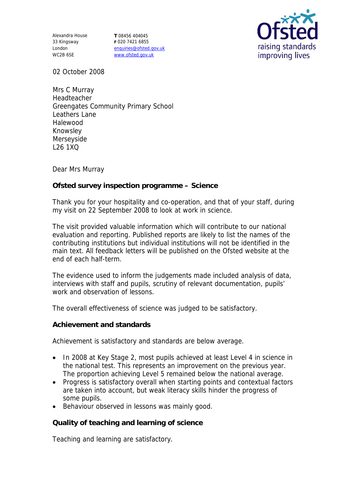Alexandra House 33 Kingsway London WC2B 6SE

**T** 08456 404045 **F** 020 7421 6855 enquiries@ofsted.gov.uk www.ofsted.gov.uk



02 October 2008

Mrs C Murray Headteacher Greengates Community Primary School Leathers Lane Halewood Knowsley Merseyside L26 1XQ

Dear Mrs Murray

**Ofsted survey inspection programme – Science**

Thank you for your hospitality and co-operation, and that of your staff, during my visit on 22 September 2008 to look at work in science.

The visit provided valuable information which will contribute to our national evaluation and reporting. Published reports are likely to list the names of the contributing institutions but individual institutions will not be identified in the main text. All feedback letters will be published on the Ofsted website at the end of each half-term.

The evidence used to inform the judgements made included analysis of data, interviews with staff and pupils, scrutiny of relevant documentation, pupils' work and observation of lessons.

The overall effectiveness of science was judged to be satisfactory.

**Achievement and standards** 

Achievement is satisfactory and standards are below average.

- In 2008 at Key Stage 2, most pupils achieved at least Level 4 in science in the national test. This represents an improvement on the previous year. The proportion achieving Level 5 remained below the national average.
- Progress is satisfactory overall when starting points and contextual factors are taken into account, but weak literacy skills hinder the progress of some pupils.
- Behaviour observed in lessons was mainly good.

**Quality of teaching and learning of science**

Teaching and learning are satisfactory.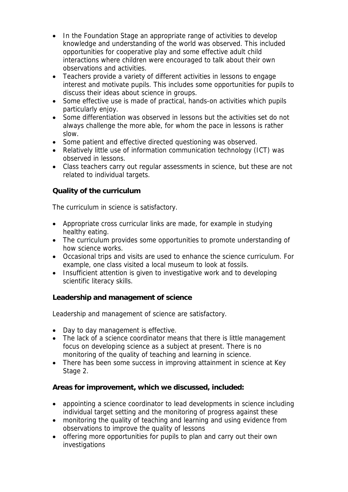- In the Foundation Stage an appropriate range of activities to develop knowledge and understanding of the world was observed. This included opportunities for cooperative play and some effective adult child interactions where children were encouraged to talk about their own observations and activities.
- Teachers provide a variety of different activities in lessons to engage interest and motivate pupils. This includes some opportunities for pupils to discuss their ideas about science in groups.
- Some effective use is made of practical, hands-on activities which pupils particularly enjoy.
- Some differentiation was observed in lessons but the activities set do not always challenge the more able, for whom the pace in lessons is rather slow.
- Some patient and effective directed questioning was observed.
- Relatively little use of information communication technology (ICT) was observed in lessons.
- Class teachers carry out regular assessments in science, but these are not related to individual targets.

## **Quality of the curriculum**

The curriculum in science is satisfactory.

- Appropriate cross curricular links are made, for example in studying healthy eating.
- The curriculum provides some opportunities to promote understanding of how science works.
- Occasional trips and visits are used to enhance the science curriculum. For example, one class visited a local museum to look at fossils.
- Insufficient attention is given to investigative work and to developing scientific literacy skills.

**Leadership and management of science**

Leadership and management of science are satisfactory.

- Day to day management is effective.
- The lack of a science coordinator means that there is little management focus on developing science as a subject at present. There is no monitoring of the quality of teaching and learning in science.
- There has been some success in improving attainment in science at Key Stage 2.

**Areas for improvement, which we discussed, included:**

- appointing a science coordinator to lead developments in science including individual target setting and the monitoring of progress against these
- monitoring the quality of teaching and learning and using evidence from observations to improve the quality of lessons
- offering more opportunities for pupils to plan and carry out their own investigations